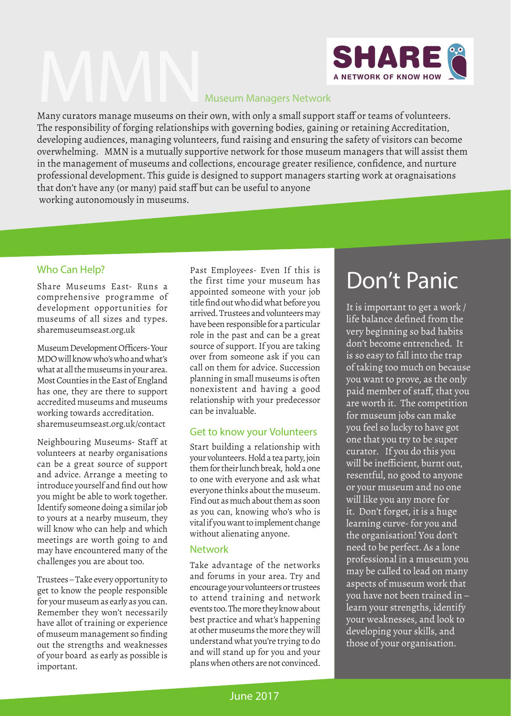

The responsibility of forging relationships with governing bodies, gaining or retaining Accreditation, developing audiences, managing volunteers, fund raising and ensuring the safety of visitors can become overwhelming. MMN is a mutually supportive network for those museum managers that will assist them in the management of museums and collections, encourage greater resilience, confidence, and nurture professional development. This guide is designed to support managers starting work at oragnaisations that don't have any (or many) paid staff but can be useful to anyone working autonomously in museums.

#### Who Can Help?

Share Museums East- Runs a comprehensive programme of development opportunities for museums of all sizes and types. sharemuseumseast.org.uk

Museum Development Officers- Your MDO will know who's who and what's what at all the museums in your area. Most Counties in the East of England has one, they are there to support accredited museums and museums working towards accreditation. sharemuseumseast.org.uk/contact

Neighbouring Museums- Staff at volunteers at nearby organisations can be a great source of support and advice. Arrange a meeting to introduce yourself and find out how you might be able to work together. Identify someone doing a similar job to yours at a nearby museum, they will know who can help and which meetings are worth going to and may have encountered many of the challenges you are about too.

Trustees – Take every opportunity to get to know the people responsible for your museum as early as you can. Remember they won't necessarily have allot of training or experience of museum management so finding out the strengths and weaknesses of your board as early as possible is important.

Past Employees- Even If this is the first time your museum has appointed someone with your job title find out who did what before you arrived. Trustees and volunteers may have been responsible for a particular role in the past and can be a great source of support. If you are taking over from someone ask if you can call on them for advice. Succession planning in small museums is often nonexistent and having a good relationship with your predecessor can be invaluable.

#### Get to know your Volunteers

Start building a relationship with your volunteers. Hold a tea party, join them for their lunch break, hold a one to one with everyone and ask what everyone thinks about the museum. Find out as much about them as soon as you can, knowing who's who is vital if you want to implement change without alienating anyone.

#### Network

Take advantage of the networks and forums in your area. Try and encourage your volunteers or trustees to attend training and network events too. The more they know about best practice and what's happening at other museums the more they will understand what you're trying to do and will stand up for you and your plans when others are not convinced.

### Don't Panic

It is important to get a work / life balance defined from the very beginning so bad habits don't become entrenched. It is so easy to fall into the trap of taking too much on because you want to prove, as the only paid member of staff, that you are worth it. The competition for museum jobs can make you feel so lucky to have got one that you try to be super curator. If you do this you will be inefficient, burnt out, resentful, no good to anyone or your museum and no one will like you any more for it. Don't forget, it is a huge learning curve- for you and the organisation! You don't need to be perfect. As a lone professional in a museum you may be called to lead on many aspects of museum work that you have not been trained in – learn your strengths, identify your weaknesses, and look to developing your skills, and those of your organisation.